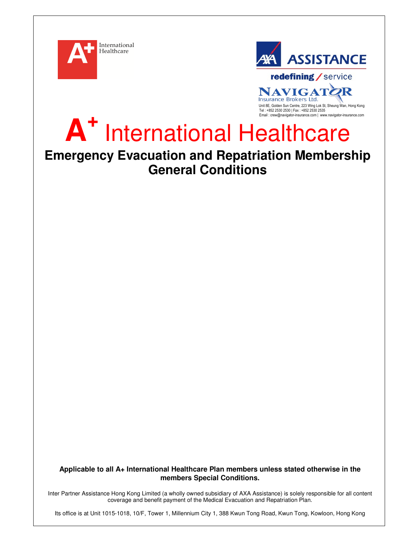



**NAVIGAT** 2R Insurance Brokers Ltd. Unit 8E, Golden Sun Centre, 223 Wing Lok St, Sheung Wan, Hong Kong Tel : +852 2530 2530 | Fax : +852 2530 2535 Email : crew@navigator-insurance.com | www.navigator-insurance.com

## **A +** International Healthcare

# **Emergency Evacuation and Repatriation Membership General Conditions**

**Applicable to all A+ International Healthcare Plan members unless stated otherwise in the members Special Conditions.** 

Inter Partner Assistance Hong Kong Limited (a wholly owned subsidiary of AXA Assistance) is solely responsible for all content coverage and benefit payment of the Medical Evacuation and Repatriation Plan.

Its office is at Unit 1015-1018, 10/F, Tower 1, Millennium City 1, 388 Kwun Tong Road, Kwun Tong, Kowloon, Hong Kong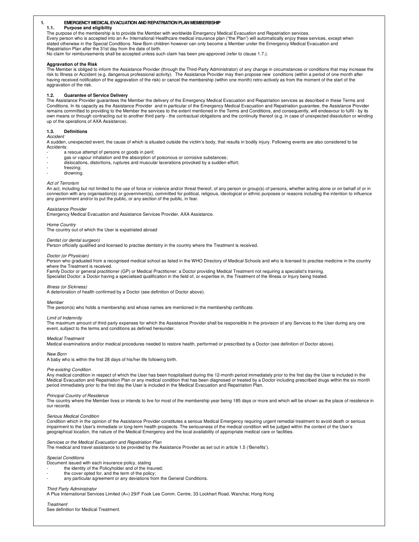## **1. EMERGENCY MEDICAL EVACUATION AND REPATRIATION PLAN MEMBERBSHIP**

#### **1.1. Purpose and eligibility**

The purpose of the membership is to provide the Member with worldwide Emergency Medical Evacuation and Repatriation services.<br>Every person who is accepted into an A+ International Healthcare medical insurance plan ("the Pl stated otherwise in the Special Conditions. New Born children however can only become a Member under the Emergency Medical Evacuation and Repatriation Plan after the 31st day from the date of birth.

No claim for reimbursements shall be accepted unless such claim has been pre-approved (refer to clause 1.7.).

## **Aggravation of the Risk**

The Member is obliged to inform the Assistance Provider (through the Third-Party Administrator) of any change in circumstances or conditions that may increase the<br>risk to Illness or Accident (e.g. dangerous professional ac having received notification of the aggravation of the risk) or cancel the membership (within one month) retro-actively as from the moment of the start of the aggravation of the risk.

## **1.2. Guarantee of Service Delivery**

The Assistance Provider guarantees the Member the delivery of the Emergency Medical Evacuation and Repatriation services as described in these Terms and Conditions. In its capacity as the Assistance Provider and in particular of the Emergency Medical Evacuation and Repatriation guarantee, the Assistance Provider<br>remains committed to providing to the Member the services to own means or through contracting out to another third party - the contractual obligations and the continuity thereof (e.g. in case of unexpected dissolution or winding up of the operations of AXA Assistance).

## **1.3. Definitions**

#### Accident

A sudden, unexpected event, the cause of which is situated outside the victim's body, that results in bodily injury. Following events are also considered to be Accidents:

- a rescue attempt of persons or goods in peril;
- gas or vapour inhalation and the absorption of poisonous or corrosive substances;
- dislocations, distortions, ruptures and muscular lacerations provoked by a sudden effort;
- freezing:
- drowning.

#### Act of Terrorism

An act, including but not limited to the use of force or violence and/or threat thereof, of any person or group(s) of persons, whether acting alone or on behalf of or in connection with any organisation(s) or government(s), committed for political, religious, ideological or ethnic purposes or reasons including the intention to influence any government and/or to put the public, or any section of the public, in fear.

#### Assistance Provider

Emergency Medical Evacuation and Assistance Services Provider, AXA Assistance.

#### Home Country

The country out of which the User is expatriated abroad

## Dentist (or dental surgeon)

Person officially qualified and licensed to practise dentistry in the country where the Treatment is received.

#### Doctor (or Physician)

Person who graduated from a recognised medical school as listed in the WHO Directory of Medical Schools and who is licensed to practise medicine in the country where the Treatment is received.

Family Doctor or general practitioner (GP) or Medical Practitioner: a Doctor providing Medical Treatment not requiring a specialist's training. Specialist Doctor: a Doctor having a specialised qualification in the field of, or expertise in, the Treatment of the Illness or Injury being treated.

#### Illness (or Sickness)

A deterioration of health confirmed by a Doctor (see definition of Doctor above).

#### **Member**

The person(s) who holds a membership and whose names are mentioned in the membership certificate.

#### Limit of Indemnity

The maximum amount of third party expenses for which the Assistance Provider shall be responsible in the provision of any Services to the User during any one event, subject to the terms and conditions as defined hereunder.

#### Medical Treatment

Medical examinations and/or medical procedures needed to restore health, performed or prescribed by a Doctor (see definition of Doctor above).

#### New Born

A baby who is within the first 28 days of his/her life following birth.

#### Pre-existing Condition

Any medical condition in respect of which the User has been hospitalised during the 12-month period immediately prior to the first day the User is included in the Medical Evacuation and Repatriation Plan or any medical condition that has been diagnosed or treated by a Doctor including prescribed drugs within the six month period immediately prior to the first day the User is included in the Medical Evacuation and Repatriation Plan.

#### Principal Country of Residence

The country where the Member lives or intends to live for most of the membership year being 185 days or more and which will be shown as the place of residence in our records.

#### Serious Medical Condition

Condition which in the opinion of the Assistance Provider constitutes a serious Medical Emergency requiring urgent remedial treatment to avoid death or serious impairment to the User's immediate or long-term health prospects. The seriousness of the medical condition will be judged within the context of the User's geographical location, the nature of the Medical Emergency and the local availability of appropriate medical care or facilities.

#### Services or the Medical Evacuation and Repatriation Plan

The medical and travel assistance to be provided by the Assistance Provider as set out in article 1.5 ('Benefits').

#### Special Conditions

Document issued with each insurance policy, stating

- the identity of the Policyholder and of the Insured;
- the cover opted for, and the term of the policy;
- any particular agreement or any deviations from the General Conditions.

#### Third Party Administrator

A Plus International Services Limited (A+) 29/F Fook Lee Comm. Centre, 33 Lockhart Road, Wanchai, Hong Kong

#### **Treatment**

See definition for Medical Treatment.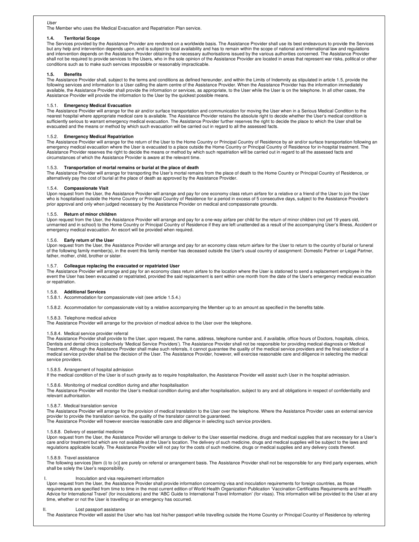#### User

The Member who uses the Medical Evacuation and Repatriation Plan service.

#### **1.4. Territorial Scope**

The Services provided by the Assistance Provider are rendered on a worldwide basis. The Assistance Provider shall use its best endeavours to provide the Services but any help and intervention depends upon, and is subject to local availability and has to remain within the scope of national and international law and regulations and intervention depends on the Assistance Provider obtaining the necessary authorisations issued by the various authorities concerned. The Assistance Provider shall not be required to provide services to the Users, who in the sole opinion of the Assistance Provider are located in areas that represent war risks, political or other conditions such as to make such services impossible or reasonably impracticable.

## **1.5. Benefits**

The Assistance Provider shall, subject to the terms and conditions as defined hereunder, and within the Limits of Indemnity as stipulated in article 1.5, provide the following services and information to a User calling the alarm centre of the Assistance Provider. When the Assistance Provider has the information immediately available, the Assistance Provider shall provide the information or services, as appropriate, to the User while the User is on the telephone. In all other cases, the Assistance Provider will provide the information to the User by the quickest possible means.

## 1.5.1. **Emergency Medical Evacuation**

The Assistance Provider will arrange for the air and/or surface transportation and communication for moving the User when in a Serious Medical Condition to the<br>nearest hospital where appropriate medical care is available. sufficiently serious to warrant emergency medical evacuation. The Assistance Provider further reserves the right to decide the place to which the User shall be evacuated and the means or method by which such evacuation will be carried out in regard to all the assessed facts.

#### 1.5.2. **Emergency Medical Repatriation**

The Assistance Provider will arrange for the return of the User to the Home Country or Principal Country of Residence by air and/or surface transportation following an emergency medical evacuation where the User is evacuated to a place outside the Home Country or Principal Country of Residence for in-hospital treatment. The<br>Assistance Provider reserves the right to decide the means or me

## 1.5.3. **Transportation of mortal remains or burial at the place of death**

The Assistance Provider will arrange for transporting the User's mortal remains from the place of death to the Home Country or Principal Country of Residence, or alternatively pay the cost of burial at the place of death as approved by the Assistance Provider.

#### 1.5.4. **Compassionate Visit**

Upon request from the User, the Assistance Provider will arrange and pay for one economy class return airfare for a relative or a friend of the User to join the User who is hospitalised outside the Home Country or Principal Country of Residence for a period in excess of 5 consecutive days, subject to the Assistance Provider's prior approval and only when judged necessary by the Assistance Provider on medical and compassionate grounds.

#### 1.5.5. **Return of minor children**

Upon request from the User, the Assistance Provider will arrange and pay for a one-way airfare per child for the return of minor children (not yet 19 years old,<br>unmarried and in school) to the Home Country or Principal Cou emergency medical evacuation. An escort will be provided when required.

## 1.5.6. **Early return of the User**

Upon request from the User, the Assistance Provider will arrange and pay for an economy class return airfare for the User to return to the country of burial or funeral of the following family member(s), in the event this family member has deceased outside the User's usual country of assignment: Domestic Partner or Legal Partner, father, mother, child, brother or sister.

#### 1.5.7. **Colleague replacing the evacuated or repatriated User**

The Assistance Provider will arrange and pay for an economy class return airfare to the location where the User is stationed to send a replacement employee in the<br>event the User has been evacuated or repatriated, provided or repatriation.

## 1.5.8. **Additional Services**

1.5.8.1. Accommodation for compassionate visit (see article 1.5.4.)

1.5.8.2. Accommodation for compassionate visit by a relative accompanying the Member up to an amount as specified in the benefits table.

#### 1.5.8.3. Telephone medical advice

The Assistance Provider will arrange for the provision of medical advice to the User over the telephone.

#### 1.5.8.4. Medical service provider referral

The Assistance Provider shall provide to the User, upon request, the name, address, telephone number and, if available, office hours of Doctors, hospitals, clinics,<br>Dentists and dental clinics (collectively 'Medical Servic Treatment. Although the Assistance Provider shall make such referrals, it cannot guarantee the quality of the medical service providers and the final selection of a medical service provider shall be the decision of the User. The Assistance Provider, however, will exercise reasonable care and diligence in selecting the medical service providers.

## 1.5.8.5. Arrangement of hospital admission

If the medical condition of the User is of such gravity as to require hospitalisation, the Assistance Provider will assist such User in the hospital admission.

#### 1.5.8.6. Monitoring of medical condition during and after hospitalisation

The Assistance Provider will monitor the User's medical condition during and after hospitalisation, subject to any and all obligations in respect of confidentiality and relevant authorisation.

#### 1.5.8.7. Medical translation service

The Assistance Provider will arrange for the provision of medical translation to the User over the telephone. Where the Assistance Provider uses an external service provider to provide the translation service, the quality of the translator cannot be guaranteed. The Assistance Provider will however exercise reasonable care and diligence in selecting such service providers.

#### 1.5.8.8. Delivery of essential medicine

Upon request from the User, the Assistance Provider will arrange to deliver to the User essential medicine, drugs and medical supplies that are necessary for a User's care and/or treatment but which are not available at the User's location. The delivery of such medicine, drugs and medical supplies will be subject to the laws and regulations applicable locally. The Assistance Provider will not pay for the costs of such medicine, drugs or medical supplies and any delivery costs thereof.

#### 1.5.8.9. Travel assistance

The following services [item (i) to (v)] are purely on referral or arrangement basis. The Assistance Provider shall not be responsible for any third party expenses, which shall be solely the User's responsibility.

## I. Inoculation and visa requirement information

Upon request from the User, the Assistance Provider shall provide information concerning visa and inoculation requirements for foreign countries, as those requirements are specified from time to time in the most current edition of World Health Organization Publication 'Vaccination Certificates Requirements and Health Advice for International Travel' (for inoculations) and the 'ABC Guide to International Travel Information' (for visas). This information will be provided to the User at any time, whether or not the User is travelling or an emergency has occurred.

## II. Lost passport assistance

The Assistance Provider will assist the User who has lost his/her passport while travelling outside the Home Country or Principal Country of Residence by referring